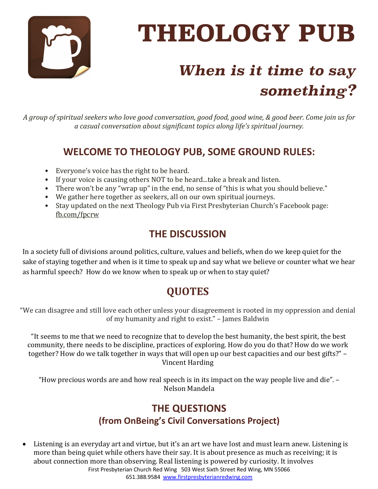

# **THEOLOGY PUB**

# *When is it time to say something?*

A group of spiritual seekers who love good conversation, good food, good wine, & good beer. Come join us for *a casual conversation about significant topics along life's spiritual journey.*

# **WELCOME TO THEOLOGY PUB, SOME GROUND RULES:**

- Everyone's voice has the right to be heard.
- If your voice is causing others NOT to be heard...take a break and listen.
- There won't be any "wrap up" in the end, no sense of "this is what you should believe."
- We gather here together as seekers, all on our own spiritual journeys.
- Stay updated on the next Theology Pub via First Presbyterian Church's Facebook page: fb.com/fpcrw

### **THE DISCUSSION**

In a society full of divisions around politics, culture, values and beliefs, when do we keep quiet for the sake of staying together and when is it time to speak up and say what we believe or counter what we hear as harmful speech? How do we know when to speak up or when to stay quiet?

# **QUOTES**

"We can disagree and still love each other unless your disagreement is rooted in my oppression and denial of my humanity and right to exist." - James Baldwin

"It seems to me that we need to recognize that to develop the best humanity, the best spirit, the best community, there needs to be discipline, practices of exploring. How do you do that? How do we work together? How do we talk together in ways that will open up our best capacities and our best gifts?" – Vincent Harding

"How precious words are and how real speech is in its impact on the way people live and die".  $-$ Nelson Mandela

# **THE QUESTIONS (from OnBeing's Civil Conversations Project)**

First Presbyterian Church Red Wing 503 West Sixth Street Red Wing, MN 55066 651.388.9584 www.firstpresbyterianredwing.com • Listening is an everyday art and virtue, but it's an art we have lost and must learn anew. Listening is more than being quiet while others have their say. It is about presence as much as receiving; it is about connection more than observing. Real listening is powered by curiosity. It involves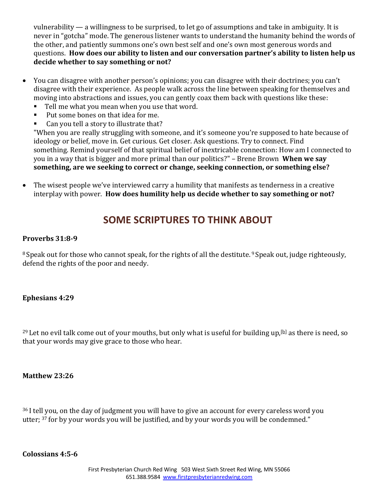vulnerability  $-$  a willingness to be surprised, to let go of assumptions and take in ambiguity. It is never in "gotcha" mode. The generous listener wants to understand the humanity behind the words of the other, and patiently summons one's own best self and one's own most generous words and questions. How does our ability to listen and our conversation partner's ability to listen help us decide whether to say something or not?

- You can disagree with another person's opinions; you can disagree with their doctrines; you can't disagree with their experience. As people walk across the line between speaking for themselves and moving into abstractions and issues, you can gently coax them back with questions like these:
	- Tell me what you mean when you use that word.
	- Put some bones on that idea for me.
	- Can you tell a story to illustrate that?

"When you are really struggling with someone, and it's someone you're supposed to hate because of ideology or belief, move in. Get curious. Get closer. Ask questions. Try to connect. Find something. Remind yourself of that spiritual belief of inextricable connection: How am I connected to you in a way that is bigger and more primal than our politics?" – Brene Brown **When we say** something, are we seeking to correct or change, seeking connection, or something else?

• The wisest people we've interviewed carry a humility that manifests as tenderness in a creative interplay with power. **How does humility help us decide whether to say something or not?** 

#### **SOME SCRIPTURES TO THINK ABOUT**

#### **Proverbs 31:8-9**

<sup>8</sup> Speak out for those who cannot speak, for the rights of all the destitute. <sup>9</sup> Speak out, judge righteously, defend the rights of the poor and needy.

#### **Ephesians 4:29**

<sup>29</sup> Let no evil talk come out of your mouths, but only what is useful for building up,<sup>[b]</sup> as there is need, so that your words may give grace to those who hear.

#### **Matthew 23:26**

 $36$  I tell you, on the day of judgment you will have to give an account for every careless word you utter;  $37$  for by your words you will be justified, and by your words you will be condemned."

#### **Colossians 4:5-6**